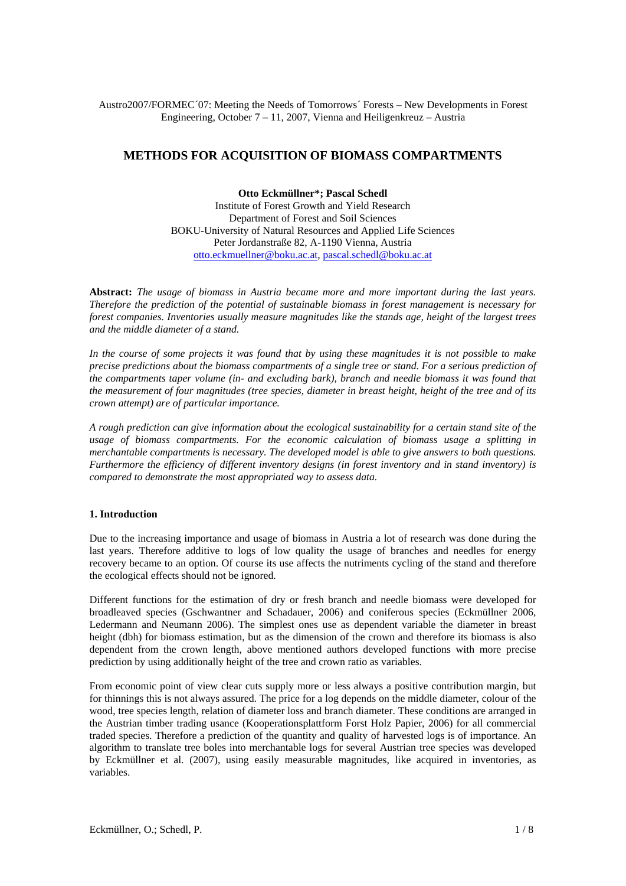## Austro2007/FORMEC´07: Meeting the Needs of Tomorrows´ Forests – New Developments in Forest Engineering, October 7 – 11, 2007, Vienna and Heiligenkreuz – Austria

# **METHODS FOR ACQUISITION OF BIOMASS COMPARTMENTS**

**Otto Eckmüllner\*; Pascal Schedl**  Institute of Forest Growth and Yield Research Department of Forest and Soil Sciences BOKU-University of Natural Resources and Applied Life Sciences Peter Jordanstraße 82, A-1190 Vienna, Austria otto.eckmuellner@boku.ac.at, pascal.schedl@boku.ac.at

**Abstract:** *The usage of biomass in Austria became more and more important during the last years. Therefore the prediction of the potential of sustainable biomass in forest management is necessary for forest companies. Inventories usually measure magnitudes like the stands age, height of the largest trees and the middle diameter of a stand.* 

*In the course of some projects it was found that by using these magnitudes it is not possible to make precise predictions about the biomass compartments of a single tree or stand. For a serious prediction of the compartments taper volume (in- and excluding bark), branch and needle biomass it was found that the measurement of four magnitudes (tree species, diameter in breast height, height of the tree and of its crown attempt) are of particular importance.* 

*A rough prediction can give information about the ecological sustainability for a certain stand site of the usage of biomass compartments. For the economic calculation of biomass usage a splitting in merchantable compartments is necessary. The developed model is able to give answers to both questions. Furthermore the efficiency of different inventory designs (in forest inventory and in stand inventory) is compared to demonstrate the most appropriated way to assess data.* 

## **1. Introduction**

Due to the increasing importance and usage of biomass in Austria a lot of research was done during the last years. Therefore additive to logs of low quality the usage of branches and needles for energy recovery became to an option. Of course its use affects the nutriments cycling of the stand and therefore the ecological effects should not be ignored.

Different functions for the estimation of dry or fresh branch and needle biomass were developed for broadleaved species (Gschwantner and Schadauer, 2006) and coniferous species (Eckmüllner 2006, Ledermann and Neumann 2006). The simplest ones use as dependent variable the diameter in breast height (dbh) for biomass estimation, but as the dimension of the crown and therefore its biomass is also dependent from the crown length, above mentioned authors developed functions with more precise prediction by using additionally height of the tree and crown ratio as variables.

From economic point of view clear cuts supply more or less always a positive contribution margin, but for thinnings this is not always assured. The price for a log depends on the middle diameter, colour of the wood, tree species length, relation of diameter loss and branch diameter. These conditions are arranged in the Austrian timber trading usance (Kooperationsplattform Forst Holz Papier, 2006) for all commercial traded species. Therefore a prediction of the quantity and quality of harvested logs is of importance. An algorithm to translate tree boles into merchantable logs for several Austrian tree species was developed by Eckmüllner et al. (2007), using easily measurable magnitudes, like acquired in inventories, as variables.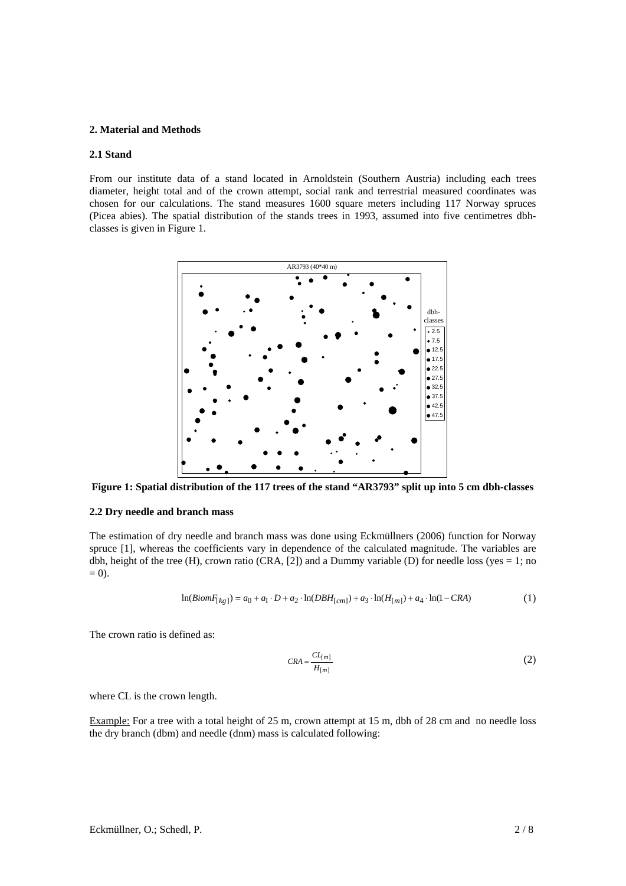#### **2. Material and Methods**

#### **2.1 Stand**

From our institute data of a stand located in Arnoldstein (Southern Austria) including each trees diameter, height total and of the crown attempt, social rank and terrestrial measured coordinates was chosen for our calculations. The stand measures 1600 square meters including 117 Norway spruces (Picea abies). The spatial distribution of the stands trees in 1993, assumed into five centimetres dbhclasses is given in Figure 1.



**Figure 1: Spatial distribution of the 117 trees of the stand "AR3793" split up into 5 cm dbh-classes** 

## **2.2 Dry needle and branch mass**

The estimation of dry needle and branch mass was done using Eckmüllners (2006) function for Norway spruce [1], whereas the coefficients vary in dependence of the calculated magnitude. The variables are dbh, height of the tree (H), crown ratio (CRA,  $[2]$ ) and a Dummy variable (D) for needle loss (yes = 1; no  $= 0$ ).

$$
\ln(BiomF_{[kg]}) = a_0 + a_1 \cdot D + a_2 \cdot \ln(DBH_{[cm]}) + a_3 \cdot \ln(H_{[m]}) + a_4 \cdot \ln(1 - CRA)
$$
 (1)

The crown ratio is defined as:

$$
CRA = \frac{CL_{[m]}}{H_{[m]}}
$$
 (2)

where CL is the crown length.

Example: For a tree with a total height of 25 m, crown attempt at 15 m, dbh of 28 cm and no needle loss the dry branch (dbm) and needle (dnm) mass is calculated following: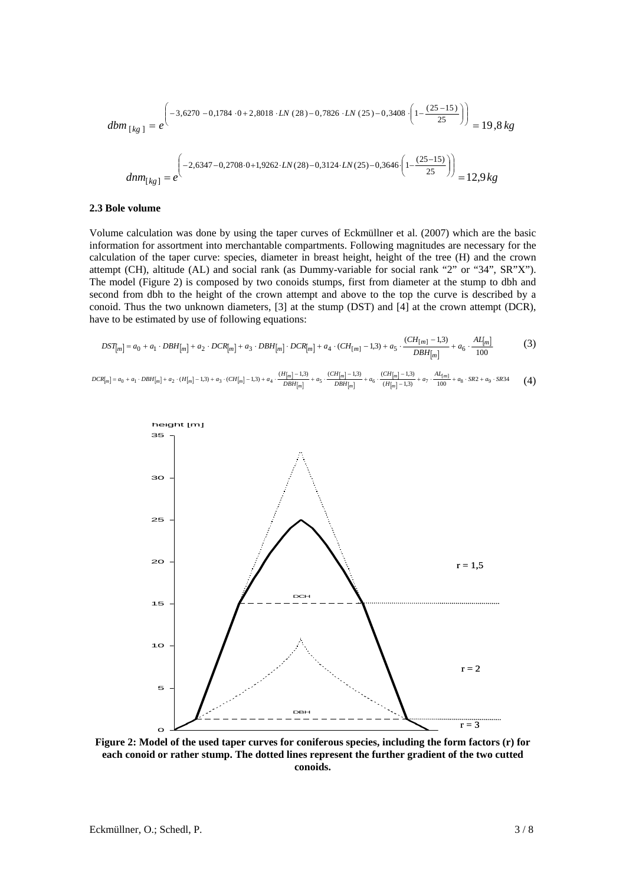$$
dbm_{[kg]} = e^{-3,6270 - 0,1784 \cdot 0 + 2,8018 \cdot LN(28) - 0,7826 \cdot LN(25) - 0,3408 \cdot \left(1 - \frac{(25 - 15)}{25}\right)} = 19,8 kg
$$
  

$$
dmm_{[kg]} = e^{-2,6347 - 0,2708 \cdot 0 + 1,9262 \cdot LN(28) - 0,3124 \cdot LN(25) - 0,3646 \cdot \left(1 - \frac{(25 - 15)}{25}\right)} = 12,9 kg
$$

#### **2.3 Bole volume**

Volume calculation was done by using the taper curves of Eckmüllner et al. (2007) which are the basic information for assortment into merchantable compartments. Following magnitudes are necessary for the calculation of the taper curve: species, diameter in breast height, height of the tree (H) and the crown attempt (CH), altitude (AL) and social rank (as Dummy-variable for social rank "2" or "34", SR"X"). The model (Figure 2) is composed by two conoids stumps, first from diameter at the stump to dbh and second from dbh to the height of the crown attempt and above to the top the curve is described by a conoid. Thus the two unknown diameters, [3] at the stump (DST) and [4] at the crown attempt (DCR), have to be estimated by use of following equations:

$$
DST_{[m]} = a_0 + a_1 \cdot DBH_{[m]} + a_2 \cdot DCR_{[m]} + a_3 \cdot DBH_{[m]} \cdot DCR_{[m]} + a_4 \cdot (CH_{[m]} - 1,3) + a_5 \cdot \frac{(CH_{[m]} - 1,3)}{DBH_{[m]} } + a_6 \cdot \frac{AL_{[m]}}{100}
$$
(3)

(4)  $[m] = a_0 + a_1 \cdot DBH[m] + a_2 \cdot (H[m] - 1,3) + a_3 \cdot (CH[m] - 1,3) + a_4 \cdot \frac{(H[m] - 1,3)}{DBH[m]}$  $\vert$ m  $\vert$ m  $DCR[m] = a_0 + a_1 \cdot DBH[m] + a_2 \cdot (H[m] - 1,3) + a_3 \cdot (CH[m] - 1,3) + a_4 \cdot \frac{(H[m] - 1,3)}{DBH[m]} + a_5 \cdot \frac{(CH[m] - 1,3)}{DBH[m]} + a_6 \cdot \frac{(CH[m] - 1,3)}{(H[m] - 1,3)} + a_7 \cdot \frac{At_{[m]}}{100} + a_8 \cdot SR2 + a_9 \cdot SR34$ *m m m*  $\begin{aligned} [m] = a_0 + a_1 \cdot DBH_{[m]} + a_2 \cdot (H_{[m]}-1, &3) + a_3 \cdot (CH_{[m]}-1, &3) + a_4 \cdot \frac{(H_{[m]}-1, &3)}{DBH_{[m]}+a_5} + a_5 \cdot \frac{(CH_{[m]}-1, &3)}{DBH_{[m]}+a_6} + a_6 \cdot \frac{(CH_{[m]}-1, &3)}{(H_{[m]}-1, &3)} + a_7 \cdot \frac{Al_{[m]}+a_8 \cdot SR2 + a_9 \cdot \frac{(CH_{[m]}-1, &3)}{DBH_{[m]}+a_8} + a_7 \cdot \frac{(CH$ 



**Figure 2: Model of the used taper curves for coniferous species, including the form factors (r) for each conoid or rather stump. The dotted lines represent the further gradient of the two cutted conoids.**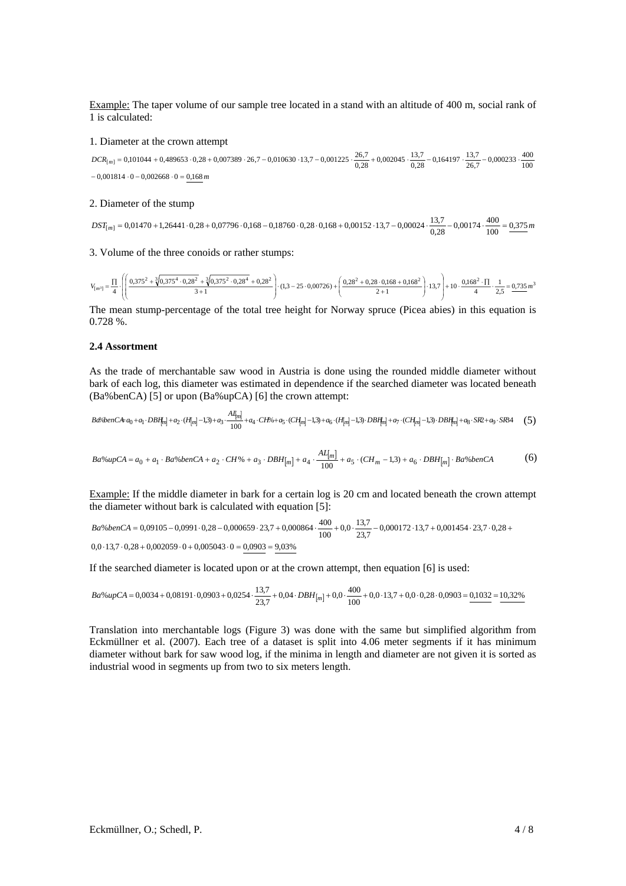Example: The taper volume of our sample tree located in a stand with an altitude of 400 m, social rank of 1 is calculated:

#### 1. Diameter at the crown attempt

 $-0,001814 \cdot 0 - 0,002668 \cdot 0 = 0,168 \, m$ *DCR <sup>m</sup>* 100 <sup>400</sup> 0,000233 26,7 13,7 0,164197 0,28 13,7 0,002045 0,28 26,7 0,101044 0,489653 0,28 0,007389 26,7 0,010630 13,7 0,001225 [ ] = + ⋅ + ⋅ − ⋅ − ⋅ + ⋅ − ⋅ − ⋅

#### 2. Diameter of the stump

 $DST_{[m]} = 0.01470 + 1.26441 \cdot 0.28 + 0.07796 \cdot 0.168 - 0.18760 \cdot 0.28 \cdot 0.168 + 0.00152 \cdot 13.7 - 0.00024 \cdot \frac{13.7}{0.28} - 0.00174 \cdot \frac{400}{100} = \frac{0.375 \, m}{0.00024 \cdot 0.00024}$  $T_{[m]} = 0.01470 + 1.26441 \cdot 0.28 + 0.07796 \cdot 0.168 - 0.18760 \cdot 0.28 \cdot 0.168 + 0.00152 \cdot 13.7 - 0.00024 \cdot \frac{13.7}{0.28} - 0.00174 \cdot \frac{400}{100} =$ 

3. Volume of the three conoids or rather stumps:

$$
V_{[m^3]} = \frac{\Pi}{4} \cdot \left( \left( \frac{0.375^2 + \sqrt[3]{0.375^4 \cdot 0.28^2} + \sqrt[3]{0.375^2 \cdot 0.28^4} + 0.28^2}{3 + 1} \right) \cdot (1.3 - 25 \cdot 0.00726) + \left( \frac{0.28^2 + 0.28 \cdot 0.168 + 0.168^2}{2 + 1} \right) \cdot 13.7 \right) + 10 \cdot \frac{0.168^2 \cdot \Pi}{4} \cdot \frac{1}{2.5} = \frac{0.735 \cdot 0.38 \cdot \Pi}{1.37 \cdot 0.168 \cdot 0.168} + \frac{0.168 \cdot 0.168 \cdot 0.168 \cdot 0.168 \cdot 0.168 \cdot 0.168 \cdot 0.168 \cdot 0.168 \cdot 0.168 \cdot 0.168 \cdot 0.168 \cdot 0.168 \cdot 0.168 \cdot 0.168 \cdot 0.168 \cdot 0.168 \cdot 0.168 \cdot 0.168 \cdot 0.168 \cdot 0.168 \cdot 0.168 \cdot 0.168 \cdot 0.168 \cdot 0.168 \cdot 0.168 \cdot 0.168 \cdot 0.168 \cdot 0.168 \cdot 0.168 \cdot 0.168 \cdot 0.168 \cdot 0.168 \cdot 0.168 \cdot 0.168 \cdot 0.168 \cdot 0.168 \cdot 0.168 \cdot 0.168 \cdot 0.168 \cdot 0.168 \cdot 0.168 \cdot 0.168 \cdot 0.168 \cdot 0.168 \cdot 0.168 \cdot 0.168 \cdot 0.168 \cdot 0.168 \cdot 0.168 \cdot 0.168 \cdot 0.168 \cdot 0.168 \cdot 0.168 \cdot 0.168 \cdot 0.168 \cdot 0.168 \cdot 0.168 \cdot 0.168 \cdot 0.168 \cdot 0.168 \cdot 0.168 \cdot 0.168 \cdot 0.168 \cdot 0.1
$$

The mean stump-percentage of the total tree height for Norway spruce (Picea abies) in this equation is 0.728 %.

### **2.4 Assortment**

As the trade of merchantable saw wood in Austria is done using the rounded middle diameter without bark of each log, this diameter was estimated in dependence if the searched diameter was located beneath (Ba%benCA) [5] or upon (Ba%upCA) [6] the crown attempt:

$$
B \& b \& en \& Ca_0 + a_1 \cdot DBH_{[m]} + a_2 \cdot (H_{[m]} - 1, 3) + a_3 \cdot \frac{A_{[m]}^I}{100} + a_4 \cdot CH \& a_5 \cdot (CH_{[m]} - 1, 3) + a_6 \cdot (H_{[m]} - 1, 3) \cdot DBH_{[m]} + a_7 \cdot (CH_{[m]} - 1, 3) \cdot DBH_{[m]} + a_8 \cdot SR + a_9 \cdot SR4 \tag{5}
$$

$$
Ba\%upCA = a_0 + a_1 \cdot Ba\%benCA + a_2 \cdot CH\% + a_3 \cdot DBH_{[m]} + a_4 \cdot \frac{AL_{[m]}}{100} + a_5 \cdot (CH_m - 1,3) + a_6 \cdot DBH_{[m]} \cdot Ba\%benCA
$$
 (6)

Example: If the middle diameter in bark for a certain log is 20 cm and located beneath the crown attempt the diameter without bark is calculated with equation [5]:

$$
Ba\%benCA = 0,09105 - 0,0991 \cdot 0,28 - 0,000659 \cdot 23,7 + 0,000864 \cdot \frac{400}{100} + 0,0 \cdot \frac{13,7}{23,7} - 0,000172 \cdot 13,7 + 0,001454 \cdot 23,7 \cdot 0,28 + 0,0 \cdot 13,7 + 0,002059 \cdot 0 + 0,005043 \cdot 0 = 0,0903 = 9,03\%
$$

If the searched diameter is located upon or at the crown attempt, then equation [6] is used:

$$
Ba\%upCA = 0,0034 + 0,08191 \cdot 0,0903 + 0,0254 \cdot \frac{13,7}{23,7} + 0,04 \cdot DBH_{[m]} + 0,0 \cdot \frac{400}{100} + 0,0 \cdot 13,7 + 0,0 \cdot 0,28 \cdot 0,0903 = \frac{0,1032}{10,32\%}
$$

Translation into merchantable logs (Figure 3) was done with the same but simplified algorithm from Eckmüllner et al. (2007). Each tree of a dataset is split into 4.06 meter segments if it has minimum diameter without bark for saw wood log, if the minima in length and diameter are not given it is sorted as industrial wood in segments up from two to six meters length.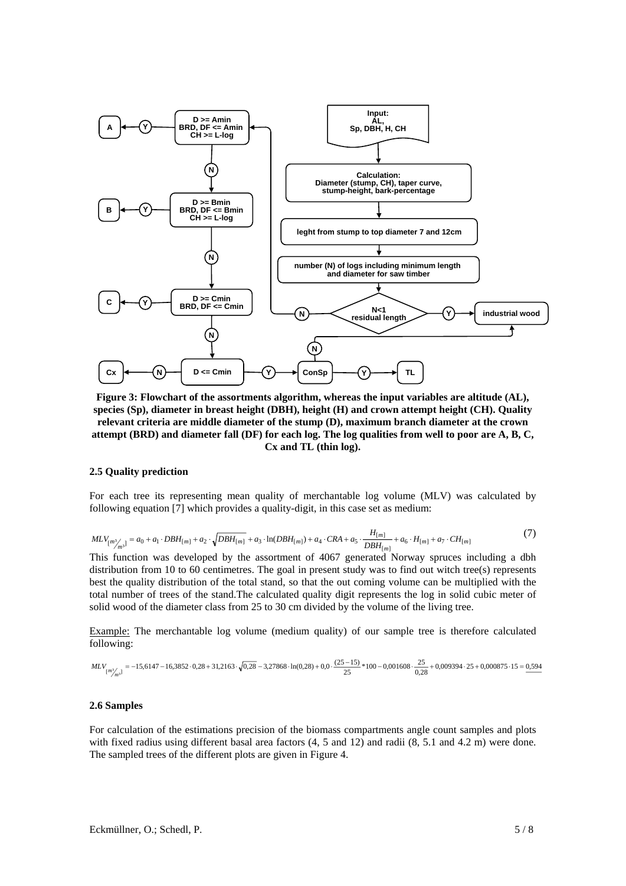

**Figure 3: Flowchart of the assortments algorithm, whereas the input variables are altitude (AL), species (Sp), diameter in breast height (DBH), height (H) and crown attempt height (CH). Quality relevant criteria are middle diameter of the stump (D), maximum branch diameter at the crown attempt (BRD) and diameter fall (DF) for each log. The log qualities from well to poor are A, B, C, Cx and TL (thin log).** 

## **2.5 Quality prediction**

For each tree its representing mean quality of merchantable log volume (MLV) was calculated by following equation [7] which provides a quality-digit, in this case set as medium:

$$
MLV_{[m_{1}^{3}/m^{3}]} = a_{0} + a_{1} \cdot DBH_{[m]} + a_{2} \cdot \sqrt{DBH_{[m]} + a_{3} \cdot \ln(DBH_{[m]}) + a_{4} \cdot CRA + a_{5} \cdot \frac{H_{[m]} }{DBH_{[m]} + a_{6} \cdot H_{[m]} + a_{7} \cdot CH_{[m]}}
$$
(7)

This function was developed by the assortment of 4067 generated Norway spruces including a dbh distribution from 10 to 60 centimetres. The goal in present study was to find out witch tree(s) represents best the quality distribution of the total stand, so that the out coming volume can be multiplied with the total number of trees of the stand.The calculated quality digit represents the log in solid cubic meter of solid wood of the diameter class from 25 to 30 cm divided by the volume of the living tree.

Example: The merchantable log volume (medium quality) of our sample tree is therefore calculated following:

$$
MLV_{[m_{f}^{3}]} = -15,6147 - 16,3852 \cdot 0,28 + 31,2163 \cdot \sqrt{0,28} - 3,27868 \cdot \ln(0,28) + 0,0 \cdot \frac{(25-15)}{25} * 100 - 0,001608 \cdot \frac{25}{0,28} + 0,009394 \cdot 25 + 0,000875 \cdot 15 = 0,5945
$$

#### **2.6 Samples**

For calculation of the estimations precision of the biomass compartments angle count samples and plots with fixed radius using different basal area factors  $(4, 5 \text{ and } 12)$  and radii  $(8, 5.1 \text{ and } 4.2 \text{ m})$  were done. The sampled trees of the different plots are given in Figure 4.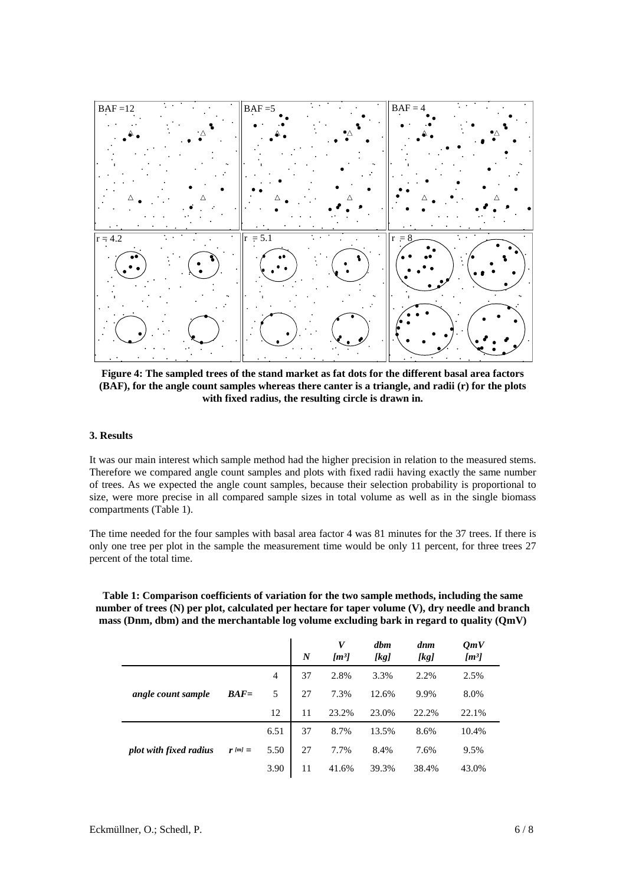

**Figure 4: The sampled trees of the stand market as fat dots for the different basal area factors (BAF), for the angle count samples whereas there canter is a triangle, and radii (r) for the plots with fixed radius, the resulting circle is drawn in.** 

## **3. Results**

It was our main interest which sample method had the higher precision in relation to the measured stems. Therefore we compared angle count samples and plots with fixed radii having exactly the same number of trees. As we expected the angle count samples, because their selection probability is proportional to size, were more precise in all compared sample sizes in total volume as well as in the single biomass compartments (Table 1).

The time needed for the four samples with basal area factor 4 was 81 minutes for the 37 trees. If there is only one tree per plot in the sample the measurement time would be only 11 percent, for three trees 27 percent of the total time.

**Table 1: Comparison coefficients of variation for the two sample methods, including the same number of trees (N) per plot, calculated per hectare for taper volume (V), dry needle and branch mass (Dnm, dbm) and the merchantable log volume excluding bark in regard to quality (QmV)** 

|                        |             |      | $\boldsymbol{N}$ | V<br>$\lfloor m^3 \rfloor$ | dbm<br>[kg] | dnm<br>[kg] | $\boldsymbol{OmV}$<br>$[m^3]$ |
|------------------------|-------------|------|------------------|----------------------------|-------------|-------------|-------------------------------|
|                        |             | 4    | 37               | 2.8%                       | 3.3%        | 2.2%        | 2.5%                          |
| angle count sample     | $BAF =$     | 5    | 27               | 7.3%                       | 12.6%       | 9.9%        | 8.0%                          |
|                        |             | 12   | 11               | 23.2%                      | 23.0%       | 22.2%       | 22.1%                         |
|                        |             | 6.51 | 37               | 8.7%                       | 13.5%       | 8.6%        | 10.4%                         |
| plot with fixed radius | $r$ [m] $=$ | 5.50 | 27               | 7.7%                       | 8.4%        | 7.6%        | 9.5%                          |
|                        |             | 3.90 | 11               | 41.6%                      | 39.3%       | 38.4%       | 43.0%                         |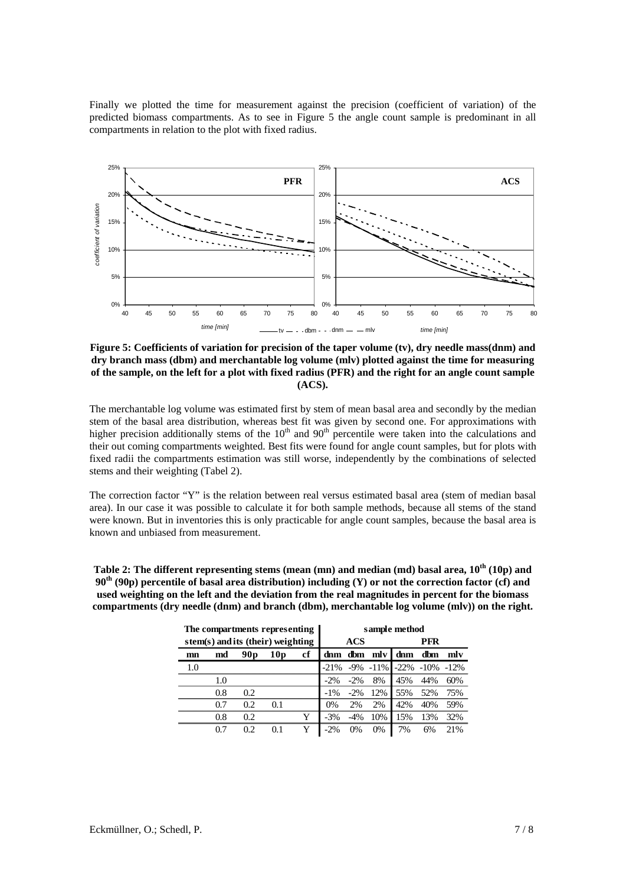Finally we plotted the time for measurement against the precision (coefficient of variation) of the predicted biomass compartments. As to see in Figure 5 the angle count sample is predominant in all compartments in relation to the plot with fixed radius.



**Figure 5: Coefficients of variation for precision of the taper volume (tv), dry needle mass(dnm) and dry branch mass (dbm) and merchantable log volume (mlv) plotted against the time for measuring of the sample, on the left for a plot with fixed radius (PFR) and the right for an angle count sample (ACS).** 

The merchantable log volume was estimated first by stem of mean basal area and secondly by the median stem of the basal area distribution, whereas best fit was given by second one. For approximations with higher precision additionally stems of the  $10<sup>th</sup>$  and  $90<sup>th</sup>$  percentile were taken into the calculations and their out coming compartments weighted. Best fits were found for angle count samples, but for plots with fixed radii the compartments estimation was still worse, independently by the combinations of selected stems and their weighting (Tabel 2).

The correction factor "Y" is the relation between real versus estimated basal area (stem of median basal area). In our case it was possible to calculate it for both sample methods, because all stems of the stand were known. But in inventories this is only practicable for angle count samples, because the basal area is known and unbiased from measurement.

**Table 2: The different representing stems (mean (mn) and median (md) basal area, 10th (10p) and 90th (90p) percentile of basal area distribution) including (Y) or not the correction factor (cf) and used weighting on the left and the deviation from the real magnitudes in percent for the biomass compartments (dry needle (dnm) and branch (dbm), merchantable log volume (mlv)) on the right.** 

| The compartments representing     |     |                 |                 | sample method |         |        |              |                                |     |     |
|-----------------------------------|-----|-----------------|-----------------|---------------|---------|--------|--------------|--------------------------------|-----|-----|
| stem(s) and its (their) weighting |     |                 |                 | <b>ACS</b>    |         |        | PFR          |                                |     |     |
| mn                                | md  | 90 <sub>p</sub> | 10 <sub>p</sub> | cf            |         |        | dnm dbm mlvl | dnm                            | dbm | mly |
| 1.0                               |     |                 |                 |               | $-21\%$ |        |              | $-9\% -11\% -22\% -10\% -12\%$ |     |     |
|                                   | 1.0 |                 |                 |               | $-2\%$  | $-2\%$ | 8%           | 45%                            | 44% | 60% |
|                                   | 0.8 | 0.2.            |                 |               | $-1\%$  | $-2\%$ | 12%          | 55%                            | 52% | 75% |
|                                   | 0.7 | 0.2             | 0.1             |               | $0\%$   | 2%     | 2%           | 42%                            | 40% | 59% |
|                                   | 0.8 | 0.2             |                 | Y             | $-3%$   | $-4\%$ | 10%          | 15%                            | 13% | 32% |
|                                   | 0.7 | 0.2             | 0.1             | Y             | $-2\%$  | 0%     | 0%           | 7%                             | 6%  | 21% |